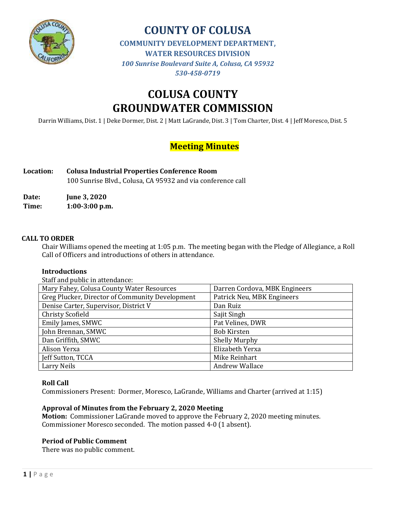

# **COLUSA COUNTY GROUNDWATER COMMISSION**

Darrin Williams, Dist. 1 | Deke Dormer, Dist. 2 | Matt LaGrande, Dist. 3 | Tom Charter, Dist. 4 | Jeff Moresco, Dist. 5

# **Meeting Minutes**

**Location: Colusa Industrial Properties Conference Room** 100 Sunrise Blvd., Colusa, CA 95932 and via conference call

**Date: June 3, 2020 Time: 1:00-3:00 p.m.**

#### **CALL TO ORDER**

Chair Williams opened the meeting at 1:05 p.m. The meeting began with the Pledge of Allegiance, a Roll Call of Officers and introductions of others in attendance.

### **Introductions**

Staff and public in attendance:

| Mary Fahey, Colusa County Water Resources       | Darren Cordova, MBK Engineers |
|-------------------------------------------------|-------------------------------|
| Greg Plucker, Director of Community Development | Patrick Neu, MBK Engineers    |
| Denise Carter, Supervisor, District V           | Dan Ruiz                      |
| <b>Christy Scofield</b>                         | Sajit Singh                   |
| Emily James, SMWC                               | Pat Velines, DWR              |
| John Brennan, SMWC                              | <b>Bob Kirsten</b>            |
| Dan Griffith, SMWC                              | <b>Shelly Murphy</b>          |
| Alison Yerxa                                    | Elizabeth Yerxa               |
| Jeff Sutton, TCCA                               | Mike Reinhart                 |
| Larry Neils                                     | <b>Andrew Wallace</b>         |

### **Roll Call**

Commissioners Present: Dormer, Moresco, LaGrande, Williams and Charter (arrived at 1:15)

### **Approval of Minutes from the February 2, 2020 Meeting**

**Motion:** Commissioner LaGrande moved to approve the February 2, 2020 meeting minutes. Commissioner Moresco seconded. The motion passed 4-0 (1 absent).

### **Period of Public Comment**

There was no public comment.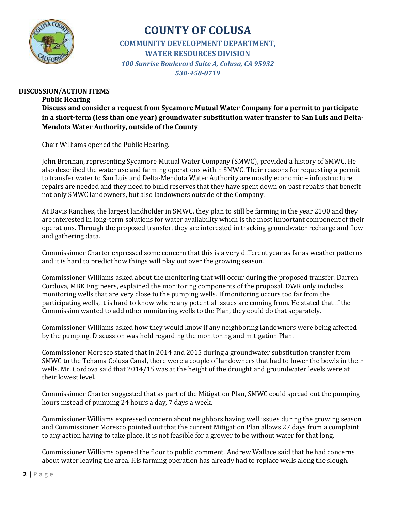

### **DISCUSSION/ACTION ITEMS**

**Public Hearing Discuss and consider a request from Sycamore Mutual Water Company for a permit to participate in a short-term (less than one year) groundwater substitution water transfer to San Luis and Delta-Mendota Water Authority, outside of the County**

Chair Williams opened the Public Hearing.

John Brennan, representing Sycamore Mutual Water Company (SMWC), provided a history of SMWC. He also described the water use and farming operations within SMWC. Their reasons for requesting a permit to transfer water to San Luis and Delta-Mendota Water Authority are mostly economic – infrastructure repairs are needed and they need to build reserves that they have spent down on past repairs that benefit not only SMWC landowners, but also landowners outside of the Company.

At Davis Ranches, the largest landholder in SMWC, they plan to still be farming in the year 2100 and they are interested in long-term solutions for water availability which is the most important component of their operations. Through the proposed transfer, they are interested in tracking groundwater recharge and flow and gathering data.

Commissioner Charter expressed some concern that this is a very different year as far as weather patterns and it is hard to predict how things will play out over the growing season.

Commissioner Williams asked about the monitoring that will occur during the proposed transfer. Darren Cordova, MBK Engineers, explained the monitoring components of the proposal. DWR only includes monitoring wells that are very close to the pumping wells. If monitoring occurs too far from the participating wells, it is hard to know where any potential issues are coming from. He stated that if the Commission wanted to add other monitoring wells to the Plan, they could do that separately.

Commissioner Williams asked how they would know if any neighboring landowners were being affected by the pumping. Discussion was held regarding the monitoring and mitigation Plan.

Commissioner Moresco stated that in 2014 and 2015 during a groundwater substitution transfer from SMWC to the Tehama Colusa Canal, there were a couple of landowners that had to lower the bowls in their wells. Mr. Cordova said that 2014/15 was at the height of the drought and groundwater levels were at their lowest level.

Commissioner Charter suggested that as part of the Mitigation Plan, SMWC could spread out the pumping hours instead of pumping 24 hours a day, 7 days a week.

Commissioner Williams expressed concern about neighbors having well issues during the growing season and Commissioner Moresco pointed out that the current Mitigation Plan allows 27 days from a complaint to any action having to take place. It is not feasible for a grower to be without water for that long.

Commissioner Williams opened the floor to public comment. Andrew Wallace said that he had concerns about water leaving the area. His farming operation has already had to replace wells along the slough.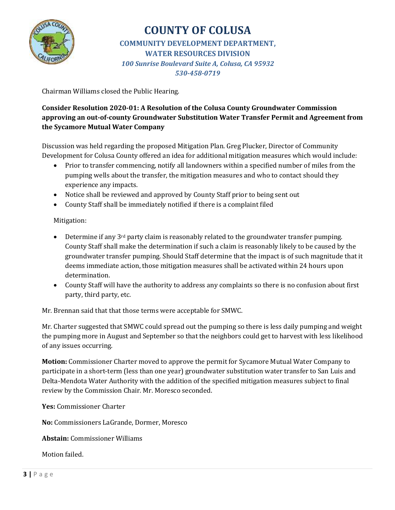

Chairman Williams closed the Public Hearing.

**Consider Resolution 2020-01: A Resolution of the Colusa County Groundwater Commission approving an out-of-county Groundwater Substitution Water Transfer Permit and Agreement from the Sycamore Mutual Water Company**

Discussion was held regarding the proposed Mitigation Plan. Greg Plucker, Director of Community Development for Colusa County offered an idea for additional mitigation measures which would include:

- Prior to transfer commencing, notify all landowners within a specified number of miles from the pumping wells about the transfer, the mitigation measures and who to contact should they experience any impacts.
- Notice shall be reviewed and approved by County Staff prior to being sent out
- County Staff shall be immediately notified if there is a complaint filed

Mitigation:

- Determine if any 3<sup>rd</sup> party claim is reasonably related to the groundwater transfer pumping. County Staff shall make the determination if such a claim is reasonably likely to be caused by the groundwater transfer pumping. Should Staff determine that the impact is of such magnitude that it deems immediate action, those mitigation measures shall be activated within 24 hours upon determination.
- County Staff will have the authority to address any complaints so there is no confusion about first party, third party, etc.

Mr. Brennan said that that those terms were acceptable for SMWC.

Mr. Charter suggested that SMWC could spread out the pumping so there is less daily pumping and weight the pumping more in August and September so that the neighbors could get to harvest with less likelihood of any issues occurring.

**Motion:** Commissioner Charter moved to approve the permit for Sycamore Mutual Water Company to participate in a short-term (less than one year) groundwater substitution water transfer to San Luis and Delta-Mendota Water Authority with the addition of the specified mitigation measures subject to final review by the Commission Chair. Mr. Moresco seconded.

**Yes:** Commissioner Charter

**No:** Commissioners LaGrande, Dormer, Moresco

**Abstain:** Commissioner Williams

Motion failed.